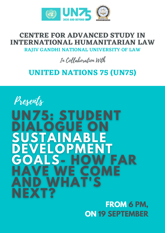

#### **CENTRE FOR ADVANCED STUDY IN INTERNATIONAL HUMANITARIAN LAW RAJIV GANDHI NATIONAL UNIVERSITY OF LAW**

In Collaboration With

### **UNITED NATIONS 75 (UN75)**



**FROM 6 PM, ON 19 SEPTEMBER**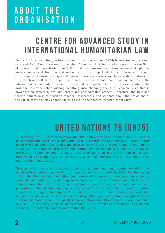## A B O U T T H E ORGANISATION

## CENTRE FOR ADVANCED STUDY IN INTERNATIONAL HUMANITARIAN LAW

Centre for Advanced Study in International Humanitarian Law (CASH) is an esteemed research centre of Rajiv Gandhi National University of Law, which is dedicated to research in the field of International Humanitarian Law (IHL). It aims to ensure that future leaders and opinionmakers understand the practical relevance of the subject of IHL and have a thorough knowledge of its basic principles. Whenever there are serious and large-scale violations of IHL, the law itself tends to get the blame. Such violations should, of course, rouse the international community to action, however, it is important to find out exactly where the problem lies rather than rushing headlong into changing the rules, especially as this is nowadays an extremely arduous, costly and unpredictable process. Therefore, the first and foremost function is to sensitize teachers, researchers, and students about the provisions of the IHL so that they may choose IHL as a field in their future research endeavours.

## UNITED NATIONS 75 (UN75)

Launched by the UN Secretary-General, the UN's 75th-anniversary initiative aims to listen to people across the world, especially youth. Over 12 months, the UN75 team will gather public perspectives on global challenges and ideas on how to tackle them through a one-minute survey, online dialogues, formal opinion polling and media analysis. The results will be presented in September 2020, at the official commemoration of the UN's 75th anniversary, after which UN75 will focus on how best to take them forward, with a final report to be published in January 2021.

Through UN75, the UN will encourage people to put their opinions together to define how enhanced international cooperation can help realize a better world by 2045. Tackling issues such as the climate crisis, inequality, new patterns of violence and the major changes we are seeing in population and technology to achieve the Sustainable Development Goals – our shared vision for the future – will require cooperation across borders, sectors and generations. But just when we need collective action more than ever, support for global cooperation is flagging. In many countries, public trust in traditional institutions is in decline and relations between countries are under strain. Dialogue– and action– on global issues could not be more urgent. Through these conversations, the UN aims to build a global vision of 2045– its centenary, increase understanding of the threats to that future, and support enhanced international cooperation to realise that vision.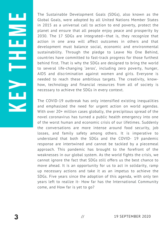necessary to achieve the SDGs in every context. behind first. That is why the SDGs are designed to bring the world development must balance social, economic and environmental 2030. The 17 SDGs are integrated—that is, they recognize that The Sustainable Development Goals (SDGs), also known as the Global Goals, were adopted by all United Nations Member States in 2015 as a universal call to action to end poverty, protect the planet and ensure that all people enjoy peace and prosperity by action in one area will affect outcomes in others and that sustainability. Through the pledge to Leave No One Behind, countries have committed to fast-track progress for those furthest to several life-changing 'zeros', including zero poverty, hunger, AIDS and discrimination against women and girls. Everyone is needed to reach these ambitious targets. The creativity, knowhow, technology and financial resources from all of society is

 With over 20+ million cases globally, the precipitous spread of the The COVID-19 outbreak has only intensified existing inequalities and emphasized the need for urgent action on world agendas. novel coronavirus has turned a public health emergency into one of the worst human and economic crisis of our lifetimes. Suddenly the conversations are more intense around food security, job losses, and family safety among others. It is imperative to understand that both the SDGs and the COVID- 19 pandemic response are intertwined and cannot be tackled by a piecemeal approach. This pandemic has brought to the forefront of the weaknesses in our global system. As the world fights the crisis, we cannot ignore the fact that SDGs still offers us the best chance to move ahead. It is an opportunity for us to act in solidarity, ramp up necessary actions and take it as an impetus to achieve the SDGs. Five years since the adoption of this agenda, with only ten years left to realize it- How far has the International Community come, and How far is yet to go?

K

E

 $\blacktriangleright$ 

T

Harry<br>Harry Harry

E

M

E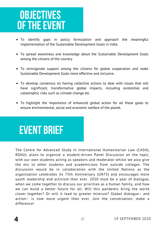## **OBJECTIVES** OF THE EVENT

- To identify gaps in policy formulation and approach the meaningful implementation of the Sustainable Development Goals in India.
- To spread awareness and knowledge about the Sustainable Development Goals among the citizens of the country.
- To reinvigorate support among the citizens for global cooperation and make Sustainable Development Goals more effective and inclusive.
- To develop consensus on having collective actions to deal with issues that will have significant, transformative global impacts, including existential and catastrophic risks such as climate change etc.
- To highlight the importance of enhanced global action for all these goals to ensure environmental, social and economic welfare of the planet.

# event brief

The Centre for Advanced Study in International Humanitarian Law (CASH), RGNUL plans to organize a student-driven Panel Discussion on the topic, with our own students acting as speakers and moderator whilst we also give the mic to other students and academicians from outside colleges. The discussion would be in collaboration with the United Nations as the organization celebrates its 75th Anniversary (UN75) and encourages more youth leadership and activism than ever. 2020 must be a year of dialogue, when we come together to discuss our priorities as a human family, and how we can build a better future for all. Will this pandemic bring the world closer together? Or will it lead to greater mistrust? Global dialogue– and action– is now more urgent than ever. Join the conversation, make a difference!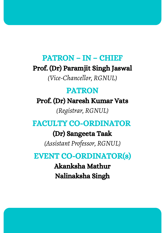#### PATRON – IN – CHIEF

Prof. (Dr) Paramjit Singh Jaswal

*(Vice-Chancellor, RGNUL)*

#### PATRON

Prof. (Dr) Naresh Kumar Vats

*(Registrar, RGNUL)*

#### FACULTY CO-ORDINATOR

(Dr) Sangeeta Taak

*(Assistant Professor, RGNUL)*

#### EVENT CO-ORDINATOR(s)

Akanksha Mathur Nalinaksha Singh